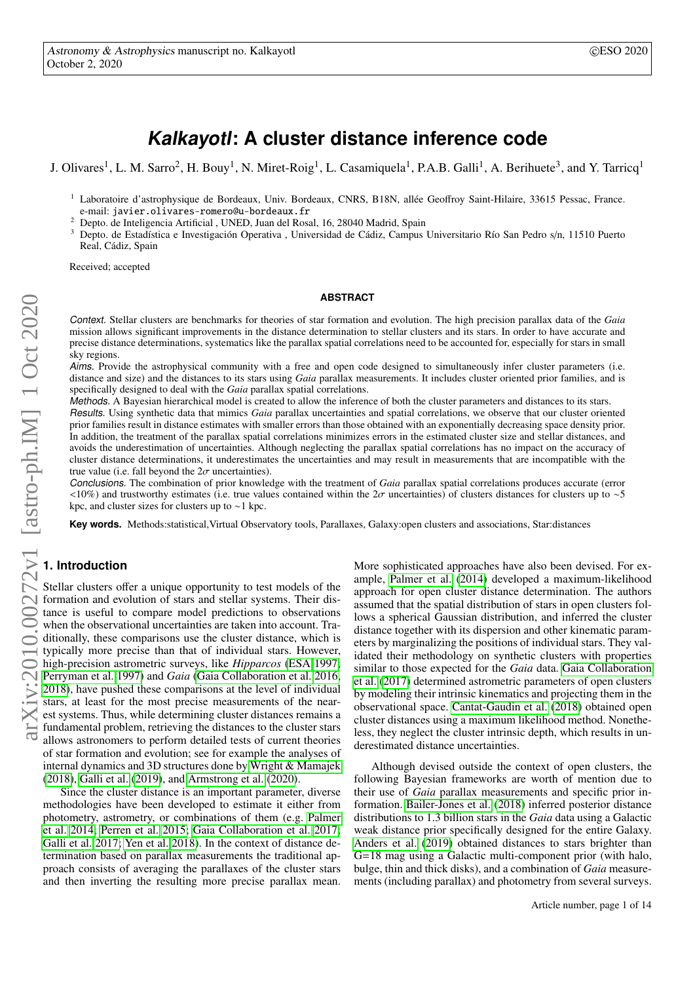# **Kalkayotl: A cluster distance inference code**

J. Olivares<sup>1</sup>, L. M. Sarro<sup>2</sup>, H. Bouy<sup>1</sup>, N. Miret-Roig<sup>1</sup>, L. Casamiquela<sup>1</sup>, P.A.B. Galli<sup>1</sup>, A. Berihuete<sup>3</sup>, and Y. Tarricq<sup>1</sup>

- <sup>1</sup> Laboratoire d'astrophysique de Bordeaux, Univ. Bordeaux, CNRS, B18N, allée Geoffroy Saint-Hilaire, 33615 Pessac, France. e-mail: javier.olivares-romero@u-bordeaux.fr
- <sup>2</sup> Depto. de Inteligencia Artificial , UNED, Juan del Rosal, 16, 28040 Madrid, Spain
- <sup>3</sup> Depto. de Estadística e Investigación Operativa , Universidad de Cádiz, Campus Universitario Río San Pedro s/n, 11510 Puerto Real, Cádiz, Spain

Received; accepted

#### **ABSTRACT**

Context. Stellar clusters are benchmarks for theories of star formation and evolution. The high precision parallax data of the *Gaia* mission allows significant improvements in the distance determination to stellar clusters and its stars. In order to have accurate and precise distance determinations, systematics like the parallax spatial correlations need to be accounted for, especially for stars in small sky regions.

Aims. Provide the astrophysical community with a free and open code designed to simultaneously infer cluster parameters (i.e. distance and size) and the distances to its stars using *Gaia* parallax measurements. It includes cluster oriented prior families, and is specifically designed to deal with the *Gaia* parallax spatial correlations. specifically designed to deal with the *Gaia* parallax spatial correlations.

Methods. A Bayesian hierarchical model is created to allow the inference of both the cluster parameters and distances to its stars.

Results. Using synthetic data that mimics *Gaia* parallax uncertainties and spatial correlations, we observe that our cluster oriented prior families result in distance estimates with smaller errors than those obtained with an exponentially decreasing space density prior. In addition, the treatment of the parallax spatial correlations minimizes errors in the estimated cluster size and stellar distances, and avoids the underestimation of uncertainties. Although neglecting the parallax spatial correlations has no impact on the accuracy of cluster distance determinations, it underestimates the uncertainties and may result in measurements that are incompatible with the true value (i.e. fall beyond the  $2\sigma$  uncertainties).<br>Conclusions The combination of prior knowled

Conclusions. The combination of prior knowledge with the treatment of *Gaia* parallax spatial correlations produces accurate (error  $<10\%$ ) and trustworthy estimates (i.e. true values contained within the 2σ uncertainties) of clusters distances for clusters up to ∼5 kpc, and cluster sizes for clusters up to ∼1 kpc.

**Key words.** Methods:statistical,Virtual Observatory tools, Parallaxes, Galaxy:open clusters and associations, Star:distances

# **1. Introduction**

Stellar clusters offer a unique opportunity to test models of the formation and evolution of stars and stellar systems. Their distance is useful to compare model predictions to observations when the observational uncertainties are taken into account. Traditionally, these comparisons use the cluster distance, which is typically more precise than that of individual stars. However, high-precision astrometric surveys, like *Hipparcos* [\(ESA 1997;](#page-7-0) [Perryman et al. 1997\)](#page-7-1) and *Gaia* [\(Gaia Collaboration et al. 2016,](#page-7-2) [2018\)](#page-7-3), have pushed these comparisons at the level of individual stars, at least for the most precise measurements of the nearest systems. Thus, while determining cluster distances remains a fundamental problem, retrieving the distances to the cluster stars allows astronomers to perform detailed tests of current theories of star formation and evolution; see for example the analyses of internal dynamics and 3D structures done by [Wright & Mamajek](#page-7-4) [\(2018\)](#page-7-4), [Galli et al.](#page-7-5) [\(2019\)](#page-7-5), and [Armstrong et al.](#page-7-6) [\(2020\)](#page-7-6).

Since the cluster distance is an important parameter, diverse methodologies have been developed to estimate it either from photometry, astrometry, or combinations of them (e.g. [Palmer](#page-7-7) [et al. 2014;](#page-7-7) [Perren et al. 2015;](#page-7-8) [Gaia Collaboration et al. 2017;](#page-7-9) [Galli et al. 2017;](#page-7-10) [Yen et al. 2018\)](#page-7-11). In the context of distance determination based on parallax measurements the traditional approach consists of averaging the parallaxes of the cluster stars and then inverting the resulting more precise parallax mean.

More sophisticated approaches have also been devised. For example, [Palmer et al.](#page-7-7) [\(2014\)](#page-7-7) developed a maximum-likelihood approach for open cluster distance determination. The authors assumed that the spatial distribution of stars in open clusters follows a spherical Gaussian distribution, and inferred the cluster distance together with its dispersion and other kinematic parameters by marginalizing the positions of individual stars. They validated their methodology on synthetic clusters with properties similar to those expected for the *Gaia* data. [Gaia Collaboration](#page-7-9) [et al.](#page-7-9) [\(2017\)](#page-7-9) determined astrometric parameters of open clusters by modeling their intrinsic kinematics and projecting them in the observational space. [Cantat-Gaudin et al.](#page-7-12) [\(2018\)](#page-7-12) obtained open cluster distances using a maximum likelihood method. Nonetheless, they neglect the cluster intrinsic depth, which results in underestimated distance uncertainties.

Although devised outside the context of open clusters, the following Bayesian frameworks are worth of mention due to their use of *Gaia* parallax measurements and specific prior information. [Bailer-Jones et al.](#page-7-13) [\(2018\)](#page-7-13) inferred posterior distance distributions to 1.3 billion stars in the *Gaia* data using a Galactic weak distance prior specifically designed for the entire Galaxy. [Anders et al.](#page-7-14) [\(2019\)](#page-7-14) obtained distances to stars brighter than G=18 mag using a Galactic multi-component prior (with halo, bulge, thin and thick disks), and a combination of *Gaia* measurements (including parallax) and photometry from several surveys.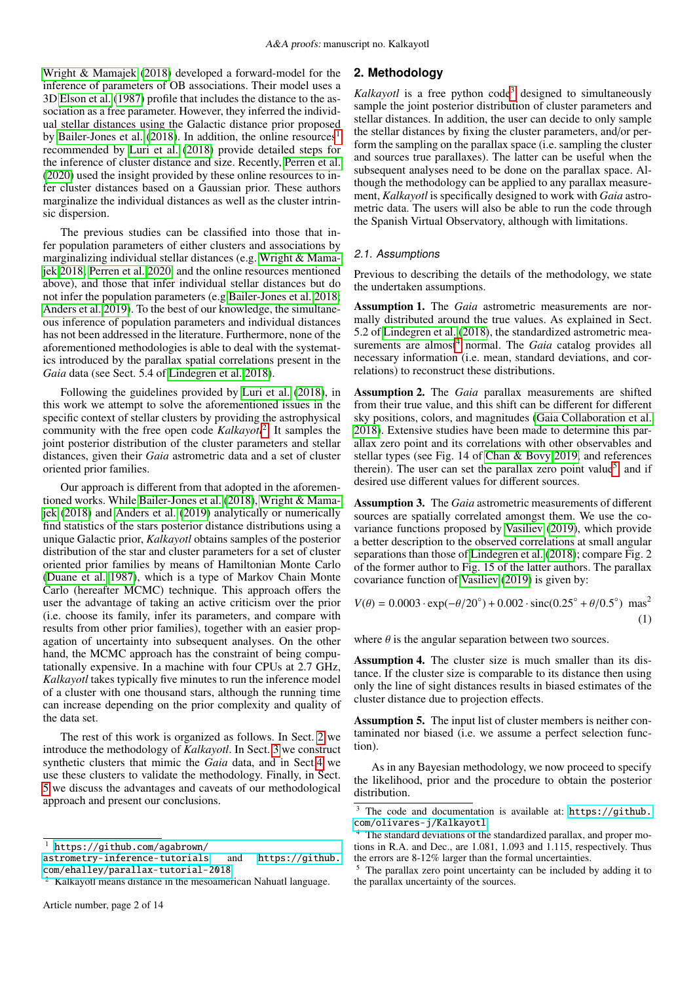[Wright & Mamajek](#page-7-4) [\(2018\)](#page-7-4) developed a forward-model for the inference of parameters of OB associations. Their model uses a 3D [Elson et al.](#page-7-15) [\(1987\)](#page-7-15) profile that includes the distance to the association as a free parameter. However, they inferred the individual stellar distances using the Galactic distance prior proposed by [Bailer-Jones et al.](#page-7-13) [\(2018\)](#page-7-13). In addition, the online resources<sup>[1](#page-1-0)</sup> recommended by [Luri et al.](#page-7-16) [\(2018\)](#page-7-16) provide detailed steps for the inference of cluster distance and size. Recently, [Perren et al.](#page-7-17) [\(2020\)](#page-7-17) used the insight provided by these online resources to infer cluster distances based on a Gaussian prior. These authors marginalize the individual distances as well as the cluster intrinsic dispersion.

The previous studies can be classified into those that infer population parameters of either clusters and associations by marginalizing individual stellar distances (e.g. [Wright & Mama](#page-7-4)[jek 2018;](#page-7-4) [Perren et al. 2020,](#page-7-17) and the online resources mentioned above), and those that infer individual stellar distances but do not infer the population parameters (e.g [Bailer-Jones et al. 2018;](#page-7-13) [Anders et al. 2019\)](#page-7-14). To the best of our knowledge, the simultaneous inference of population parameters and individual distances has not been addressed in the literature. Furthermore, none of the aforementioned methodologies is able to deal with the systematics introduced by the parallax spatial correlations present in the *Gaia* data (see Sect. 5.4 of [Lindegren et al. 2018\)](#page-7-18).

Following the guidelines provided by [Luri et al.](#page-7-16) [\(2018\)](#page-7-16), in this work we attempt to solve the aforementioned issues in the specific context of stellar clusters by providing the astrophysical community with the free open code *Kalkayotl*[2](#page-1-1) . It samples the joint posterior distribution of the cluster parameters and stellar distances, given their *Gaia* astrometric data and a set of cluster oriented prior families.

Our approach is different from that adopted in the aforementioned works. While [Bailer-Jones et al.](#page-7-13) [\(2018\)](#page-7-13), [Wright & Mama](#page-7-4)[jek](#page-7-4) [\(2018\)](#page-7-4) and [Anders et al.](#page-7-14) [\(2019\)](#page-7-14) analytically or numerically find statistics of the stars posterior distance distributions using a unique Galactic prior, *Kalkayotl* obtains samples of the posterior distribution of the star and cluster parameters for a set of cluster oriented prior families by means of Hamiltonian Monte Carlo [\(Duane et al. 1987\)](#page-7-19), which is a type of Markov Chain Monte Carlo (hereafter MCMC) technique. This approach offers the user the advantage of taking an active criticism over the prior (i.e. choose its family, infer its parameters, and compare with results from other prior families), together with an easier propagation of uncertainty into subsequent analyses. On the other hand, the MCMC approach has the constraint of being computationally expensive. In a machine with four CPUs at 2.7 GHz, *Kalkayotl* takes typically five minutes to run the inference model of a cluster with one thousand stars, although the running time can increase depending on the prior complexity and quality of the data set.

The rest of this work is organized as follows. In Sect. [2](#page-1-2) we introduce the methodology of *Kalkayotl*. In Sect. [3](#page-4-0) we construct synthetic clusters that mimic the *Gaia* data, and in Sect[.4](#page-4-1) we use these clusters to validate the methodology. Finally, in Sect. [5](#page-6-0) we discuss the advantages and caveats of our methodological approach and present our conclusions.

# <span id="page-1-2"></span>**2. Methodology**

*Kalkayotl* is a free python code<sup>[3](#page-1-3)</sup> designed to simultaneously sample the joint posterior distribution of cluster parameters and stellar distances. In addition, the user can decide to only sample the stellar distances by fixing the cluster parameters, and/or perform the sampling on the parallax space (i.e. sampling the cluster and sources true parallaxes). The latter can be useful when the subsequent analyses need to be done on the parallax space. Although the methodology can be applied to any parallax measurement, *Kalkayotl* is specifically designed to work with *Gaia* astrometric data. The users will also be able to run the code through the Spanish Virtual Observatory, although with limitations.

## 2.1. Assumptions

Previous to describing the details of the methodology, we state the undertaken assumptions.

<span id="page-1-6"></span>Assumption 1. The *Gaia* astrometric measurements are normally distributed around the true values. As explained in Sect. 5.2 of [Lindegren et al.](#page-7-18) [\(2018\)](#page-7-18), the standardized astrometric mea-surements are almost<sup>[4](#page-1-4)</sup> normal. The *Gaia* catalog provides all necessary information (i.e. mean, standard deviations, and correlations) to reconstruct these distributions.

<span id="page-1-7"></span>Assumption 2. The *Gaia* parallax measurements are shifted from their true value, and this shift can be different for different sky positions, colors, and magnitudes [\(Gaia Collaboration et al.](#page-7-3) [2018\)](#page-7-3). Extensive studies have been made to determine this parallax zero point and its correlations with other observables and stellar types (see Fig. 14 of [Chan & Bovy 2019,](#page-7-20) and references therein). The user can set the parallax zero point value<sup>[5](#page-1-5)</sup>, and if desired use different values for different sources.

<span id="page-1-8"></span>Assumption 3. The *Gaia* astrometric measurements of different sources are spatially correlated amongst them. We use the covariance functions proposed by [Vasiliev](#page-7-21) [\(2019\)](#page-7-21), which provide a better description to the observed correlations at small angular separations than those of [Lindegren et al.](#page-7-18) [\(2018\)](#page-7-18); compare Fig. 2 of the former author to Fig. 15 of the latter authors. The parallax covariance function of [Vasiliev](#page-7-21) [\(2019\)](#page-7-21) is given by:

$$
V(\theta) = 0.0003 \cdot \exp(-\theta/20^{\circ}) + 0.002 \cdot \text{sinc}(0.25^{\circ} + \theta/0.5^{\circ}) \text{ mas}^2
$$
<sup>(1)</sup>

where  $\theta$  is the angular separation between two sources.

<span id="page-1-9"></span>Assumption 4. The cluster size is much smaller than its distance. If the cluster size is comparable to its distance then using only the line of sight distances results in biased estimates of the cluster distance due to projection effects.

<span id="page-1-10"></span>Assumption 5. The input list of cluster members is neither contaminated nor biased (i.e. we assume a perfect selection function).

As in any Bayesian methodology, we now proceed to specify the likelihood, prior and the procedure to obtain the posterior distribution.

<span id="page-1-0"></span><sup>1</sup> [https://github.com/agabrown/](https://github.com/agabrown/astrometry-inference-tutorials)

[astrometry-inference-tutorials](https://github.com/agabrown/astrometry-inference-tutorials), and [https://github.](https://github.com/ehalley/parallax-tutorial-2018) [com/ehalley/parallax-tutorial-2018](https://github.com/ehalley/parallax-tutorial-2018).

<span id="page-1-1"></span><sup>2</sup> Kalkayotl means distance in the mesoamerican Nahuatl language.

<span id="page-1-3"></span><sup>&</sup>lt;sup>3</sup> The code and documentation is available at: [https://github.](https://github.com/olivares-j/Kalkayotl) [com/olivares-j/Kalkayotl](https://github.com/olivares-j/Kalkayotl)

<span id="page-1-4"></span>The standard deviations of the standardized parallax, and proper motions in R.A. and Dec., are 1.081, 1.093 and 1.115, respectively. Thus the errors are 8-12% larger than the formal uncertainties.

<span id="page-1-5"></span><sup>&</sup>lt;sup>5</sup> The parallax zero point uncertainty can be included by adding it to the parallax uncertainty of the sources.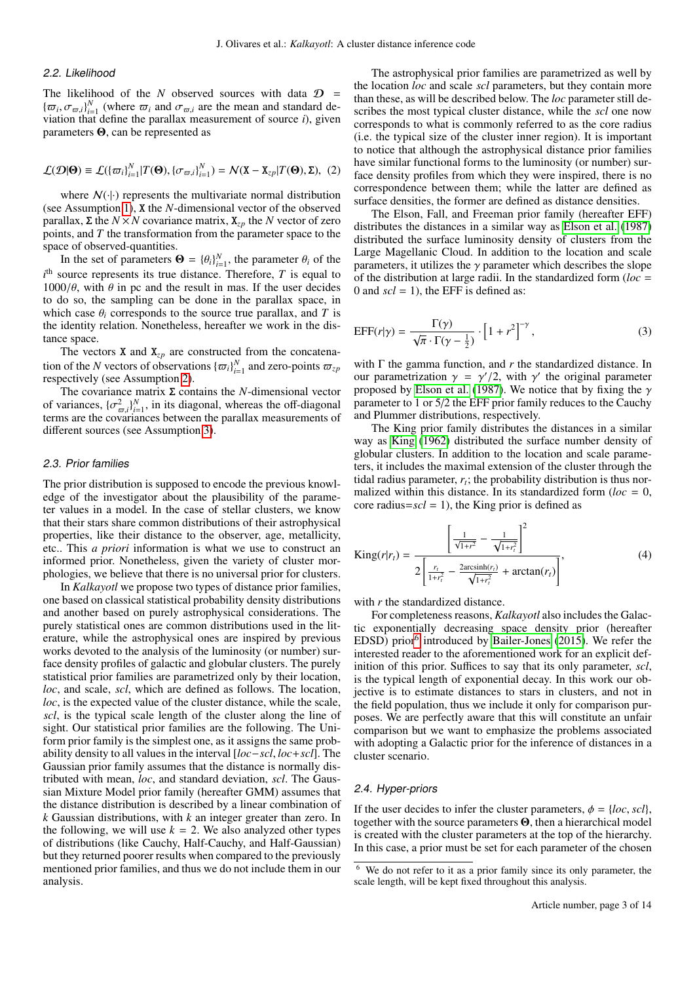## 2.2. Likelihood

The likelihood of the *N* observed sources with data  $D =$  ${\{\overline{\omega}_i, \sigma_{\varpi,i}\}_{i=1}^N}$  (where  $\overline{\omega}_i$  and  $\sigma_{\varpi,i}$  are the mean and standard de-<br>viation that define the parallax measurement of source *i*) given viation that define the parallax measurement of source *i*), given parameters Θ, can be represented as

<span id="page-2-1"></span>
$$
\mathcal{L}(\mathcal{D}|\mathbf{\Theta}) \equiv \mathcal{L}(\{\varpi_i\}_{i=1}^N | T(\mathbf{\Theta}), \{\sigma_{\varpi,i}\}_{i=1}^N) = \mathcal{N}(\mathbf{X} - \mathbf{X}_{zp} | T(\mathbf{\Theta}), \mathbf{\Sigma}), \tag{2}
$$

where  $N(\cdot|\cdot)$  represents the multivariate normal distribution (see Assumption [1\)](#page-1-6), X the *N*-dimensional vector of the observed parallax, Σ the *N* × *N* covariance matrix,  $X_{zp}$  the *N* vector of zero points, and *T* the transformation from the parameter space to the space of observed-quantities.

In the set of parameters  $\mathbf{\Theta} = {\theta_i}_{i=1}^N$ , the parameter  $\theta_i$  of the parameter  $\theta_i$  of the parameter  $\mathbf{\Omega}$  is equal to  $i<sup>th</sup>$  source represents its true distance. Therefore, *T* is equal to  $1000/\theta$ , with  $\theta$  in pc and the result in mas. If the user decides to do so, the sampling can be done in the parallax space, in which case  $\theta_i$  corresponds to the source true parallax, and *T* is the identity relation. Nonetheless, hereafter we work in the distance space.

The vectors **X** and  $X_{zp}$  are constructed from the concatenation of the *N* vectors of observations  $\{\varpi_i\}_{i=1}^N$  and zero-points  $\varpi_{zp}$ <br>respectively (see Assumption 2) respectively (see Assumption [2\)](#page-1-7).

The covariance matrix Σ contains the *N*-dimensional vector of variances,  $\{\sigma_{\varpi,i}^2\}_{i=1}^N$ , in its diagonal, whereas the off-diagonal<br>terms are the covariances between the parallax measurements of  $\alpha$  variances,  $\alpha_{\varpi,i}$ ,  $i_{i=1}$ , in its diagonal, whereas the on-diagonal terms are the covariances between the parallax measurements of different sources (see Assumption [3\)](#page-1-8).

#### <span id="page-2-2"></span>2.3. Prior families

The prior distribution is supposed to encode the previous knowledge of the investigator about the plausibility of the parameter values in a model. In the case of stellar clusters, we know that their stars share common distributions of their astrophysical properties, like their distance to the observer, age, metallicity, etc.. This *a priori* information is what we use to construct an informed prior. Nonetheless, given the variety of cluster morphologies, we believe that there is no universal prior for clusters.

In *Kalkayotl* we propose two types of distance prior families, one based on classical statistical probability density distributions and another based on purely astrophysical considerations. The purely statistical ones are common distributions used in the literature, while the astrophysical ones are inspired by previous works devoted to the analysis of the luminosity (or number) surface density profiles of galactic and globular clusters. The purely statistical prior families are parametrized only by their location, *loc*, and scale, *scl*, which are defined as follows. The location, *loc*, is the expected value of the cluster distance, while the scale, *scl*, is the typical scale length of the cluster along the line of sight. Our statistical prior families are the following. The Uniform prior family is the simplest one, as it assigns the same probability density to all values in the interval [*loc*−*scl*, *loc*+*scl*]. The Gaussian prior family assumes that the distance is normally distributed with mean, *loc*, and standard deviation, *scl*. The Gaussian Mixture Model prior family (hereafter GMM) assumes that the distance distribution is described by a linear combination of *k* Gaussian distributions, with *k* an integer greater than zero. In the following, we will use  $k = 2$ . We also analyzed other types of distributions (like Cauchy, Half-Cauchy, and Half-Gaussian) but they returned poorer results when compared to the previously mentioned prior families, and thus we do not include them in our analysis.

The astrophysical prior families are parametrized as well by the location *loc* and scale *scl* parameters, but they contain more than these, as will be described below. The *loc* parameter still describes the most typical cluster distance, while the *scl* one now corresponds to what is commonly referred to as the core radius (i.e. the typical size of the cluster inner region). It is important to notice that although the astrophysical distance prior families have similar functional forms to the luminosity (or number) surface density profiles from which they were inspired, there is no correspondence between them; while the latter are defined as surface densities, the former are defined as distance densities.

The Elson, Fall, and Freeman prior family (hereafter EFF) distributes the distances in a similar way as [Elson et al.](#page-7-15) [\(1987\)](#page-7-15) distributed the surface luminosity density of clusters from the Large Magellanic Cloud. In addition to the location and scale parameters, it utilizes the  $\gamma$  parameter which describes the slope of the distribution at large radii. In the standardized form (*loc* = 0 and  $\textit{scl} = 1$ ), the EFF is defined as:

$$
EFF(r|\gamma) = \frac{\Gamma(\gamma)}{\sqrt{\pi} \cdot \Gamma(\gamma - \frac{1}{2})} \cdot \left[1 + r^2\right]^{-\gamma},\tag{3}
$$

with  $\Gamma$  the gamma function, and  $r$  the standardized distance. In our parametrization  $\gamma = \gamma'/2$ , with  $\gamma'$  the original parameter proposed by Elson et al. (1987). We notice that by fixing the  $\gamma$ proposed by [Elson et al.](#page-7-15) [\(1987\)](#page-7-15). We notice that by fixing the  $\gamma$ parameter to 1 or 5/2 the EFF prior family reduces to the Cauchy and Plummer distributions, respectively.

The King prior family distributes the distances in a similar way as [King](#page-7-22) [\(1962\)](#page-7-22) distributed the surface number density of globular clusters. In addition to the location and scale parameters, it includes the maximal extension of the cluster through the tidal radius parameter,  $r_t$ ; the probability distribution is thus normalized within this distance. In its standardized form ( $loc = 0$ , core radius= $scl = 1$ ), the King prior is defined as

$$
\text{King}(r|r_t) = \frac{\left[\frac{1}{\sqrt{1+r^2}} - \frac{1}{\sqrt{1+r_t^2}}\right]^2}{2\left[\frac{r_t}{1+r_t^2} - \frac{2\arcsinh(r_t)}{\sqrt{1+r_t^2}} + \arctan(r_t)\right]},\tag{4}
$$

with *r* the standardized distance.

For completeness reasons, *Kalkayotl* also includes the Galactic exponentially decreasing space density prior (hereafter EDSD) prior<sup>[6](#page-2-0)</sup> introduced by [Bailer-Jones](#page-7-23) [\(2015\)](#page-7-23). We refer the interested reader to the aforementioned work for an explicit definition of this prior. Suffices to say that its only parameter, *scl*, is the typical length of exponential decay. In this work our objective is to estimate distances to stars in clusters, and not in the field population, thus we include it only for comparison purposes. We are perfectly aware that this will constitute an unfair comparison but we want to emphasize the problems associated with adopting a Galactic prior for the inference of distances in a cluster scenario.

#### <span id="page-2-3"></span>2.4. Hyper-priors

If the user decides to infer the cluster parameters,  $\phi = \{loc, \text{ }scl\}$ , together with the source parameters Θ, then a hierarchical model is created with the cluster parameters at the top of the hierarchy. In this case, a prior must be set for each parameter of the chosen

<span id="page-2-0"></span><sup>6</sup> We do not refer to it as a prior family since its only parameter, the scale length, will be kept fixed throughout this analysis.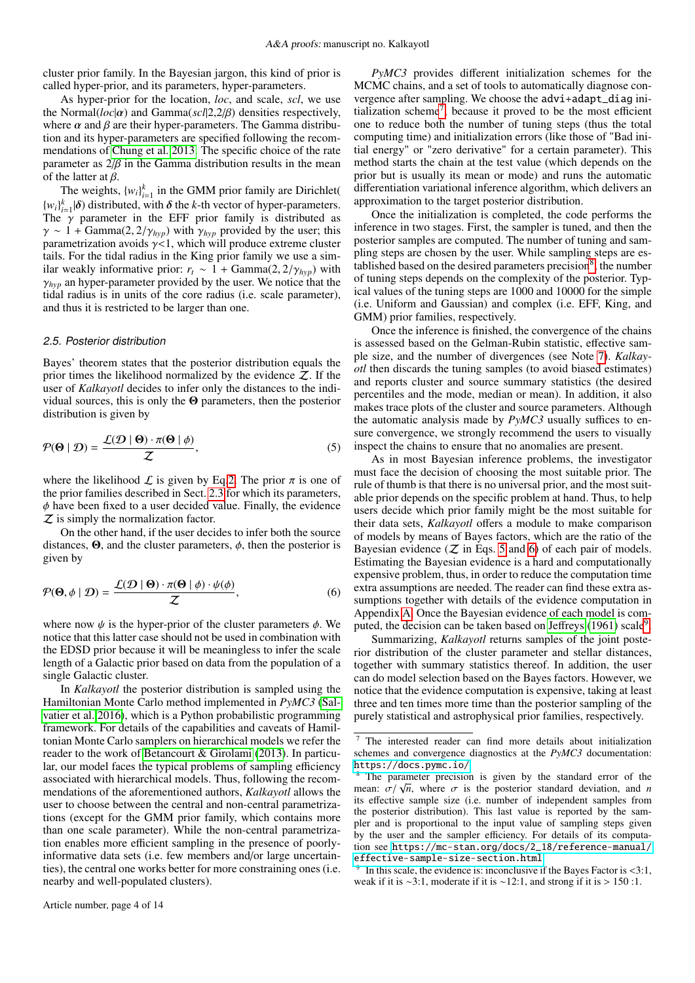cluster prior family. In the Bayesian jargon, this kind of prior is called hyper-prior, and its parameters, hyper-parameters.

As hyper-prior for the location, *loc*, and scale, *scl*, we use the Normal(*loc*|α) and Gamma(*scl*|2,2/β) densities respectively, where  $\alpha$  and  $\beta$  are their hyper-parameters. The Gamma distribution and its hyper-parameters are specified following the recommendations of [Chung et al. 2013.](#page-7-24) The specific choice of the rate parameter as 2/β in the Gamma distribution results in the mean of the latter at β.

The weights,  $\{w_i\}_{i=1}^k$  in the GMM prior family are Dirichlet(  ${w_i}_{i=1}^k|\delta$  distributed, with  $\delta$  the *k*-th vector of hyper-parameters.<br>The  $\gamma$  parameter in the EFF prior family is distributed as The  $\gamma$  parameter in the EFF prior family is distributed as  $\gamma \sim 1 + \text{Gamma}(2, 2/\gamma_{hyp})$  with  $\gamma_{hyp}$  provided by the user; this parametrization avoids  $\gamma$ <1, which will produce extreme cluster tails. For the tidal radius in the King prior family we use a similar weakly informative prior:  $r_t \sim 1 + \text{Gamma}(2, 2/\gamma_{hyp})$  with  $\gamma_{hvp}$  an hyper-parameter provided by the user. We notice that the tidal radius is in units of the core radius (i.e. scale parameter), and thus it is restricted to be larger than one.

## 2.5. Posterior distribution

Bayes' theorem states that the posterior distribution equals the prior times the likelihood normalized by the evidence  $Z$ . If the user of *Kalkayotl* decides to infer only the distances to the individual sources, this is only the  $\Theta$  parameters, then the posterior distribution is given by

<span id="page-3-2"></span>
$$
\mathcal{P}(\mathbf{\Theta} \mid \mathcal{D}) = \frac{\mathcal{L}(\mathcal{D} \mid \mathbf{\Theta}) \cdot \pi(\mathbf{\Theta} \mid \phi)}{\mathcal{Z}},\tag{5}
$$

where the likelihood  $\mathcal L$  is given by Eq[.2.](#page-2-1) The prior  $\pi$  is one of the prior families described in Sect. [2.3](#page-2-2) for which its parameters,  $\phi$  have been fixed to a user decided value. Finally, the evidence  $Z$  is simply the normalization factor.

<span id="page-3-3"></span>On the other hand, if the user decides to infer both the source distances,  $\Theta$ , and the cluster parameters,  $\phi$ , then the posterior is given by

$$
\mathcal{P}(\mathbf{\Theta},\phi \mid \mathcal{D}) = \frac{\mathcal{L}(\mathcal{D} \mid \mathbf{\Theta}) \cdot \pi(\mathbf{\Theta} \mid \phi) \cdot \psi(\phi)}{\mathcal{Z}},\tag{6}
$$

where now  $\psi$  is the hyper-prior of the cluster parameters  $\phi$ . We notice that this latter case should not be used in combination with the EDSD prior because it will be meaningless to infer the scale length of a Galactic prior based on data from the population of a single Galactic cluster.

In *Kalkayotl* the posterior distribution is sampled using the Hamiltonian Monte Carlo method implemented in *PyMC3* [\(Sal](#page-7-25)[vatier et al. 2016\)](#page-7-25), which is a Python probabilistic programming framework. For details of the capabilities and caveats of Hamiltonian Monte Carlo samplers on hierarchical models we refer the reader to the work of [Betancourt & Girolami](#page-7-26) [\(2013\)](#page-7-26). In particular, our model faces the typical problems of sampling efficiency associated with hierarchical models. Thus, following the recommendations of the aforementioned authors, *Kalkayotl* allows the user to choose between the central and non-central parametrizations (except for the GMM prior family, which contains more than one scale parameter). While the non-central parametrization enables more efficient sampling in the presence of poorlyinformative data sets (i.e. few members and/or large uncertainties), the central one works better for more constraining ones (i.e. nearby and well-populated clusters).

*PyMC3* provides different initialization schemes for the MCMC chains, and a set of tools to automatically diagnose convergence after sampling. We choose the advi+adapt\_diag ini-tialization scheme<sup>[7](#page-3-0)</sup>, because it proved to be the most efficient one to reduce both the number of tuning steps (thus the total computing time) and initialization errors (like those of "Bad initial energy" or "zero derivative" for a certain parameter). This method starts the chain at the test value (which depends on the prior but is usually its mean or mode) and runs the automatic differentiation variational inference algorithm, which delivers an approximation to the target posterior distribution.

Once the initialization is completed, the code performs the inference in two stages. First, the sampler is tuned, and then the posterior samples are computed. The number of tuning and sampling steps are chosen by the user. While sampling steps are es $t$ ablished based on the desired parameters precision<sup>[8](#page-3-1)</sup>, the number of tuning steps depends on the complexity of the posterior. Typical values of the tuning steps are 1000 and 10000 for the simple (i.e. Uniform and Gaussian) and complex (i.e. EFF, King, and GMM) prior families, respectively.

Once the inference is finished, the convergence of the chains is assessed based on the Gelman-Rubin statistic, effective sample size, and the number of divergences (see Note [7\)](#page-3-0). *Kalkayotl* then discards the tuning samples (to avoid biased estimates) and reports cluster and source summary statistics (the desired percentiles and the mode, median or mean). In addition, it also makes trace plots of the cluster and source parameters. Although the automatic analysis made by *PyMC3* usually suffices to ensure convergence, we strongly recommend the users to visually inspect the chains to ensure that no anomalies are present.

As in most Bayesian inference problems, the investigator must face the decision of choosing the most suitable prior. The rule of thumb is that there is no universal prior, and the most suitable prior depends on the specific problem at hand. Thus, to help users decide which prior family might be the most suitable for their data sets, *Kalkayotl* offers a module to make comparison of models by means of Bayes factors, which are the ratio of the Bayesian evidence  $(Z \text{ in Eqs. 5 and 6})$  $(Z \text{ in Eqs. 5 and 6})$  $(Z \text{ in Eqs. 5 and 6})$  of each pair of models. Estimating the Bayesian evidence is a hard and computationally expensive problem, thus, in order to reduce the computation time extra assumptions are needed. The reader can find these extra assumptions together with details of the evidence computation in Appendix [A.](#page-8-0) Once the Bayesian evidence of each model is computed, the decision can be taken based on Jeff[reys](#page-7-27) [\(1961\)](#page-7-27) scale<sup>[9](#page-3-4)</sup>.

Summarizing, *Kalkayotl* returns samples of the joint posterior distribution of the cluster parameter and stellar distances, together with summary statistics thereof. In addition, the user can do model selection based on the Bayes factors. However, we notice that the evidence computation is expensive, taking at least three and ten times more time than the posterior sampling of the purely statistical and astrophysical prior families, respectively.

<span id="page-3-0"></span><sup>7</sup> The interested reader can find more details about initialization schemes and convergence diagnostics at the *PyMC3* documentation: <https://docs.pymc.io/>

<span id="page-3-1"></span>The parameter precision is given by the standard error of the The parameter precision is given by the standard error of the mean:  $\sigma/\sqrt{n}$ , where  $\sigma$  is the posterior standard deviation, and *n* its effective sample size (i.e. number of independent samples from its effective sample size (i.e. number of independent samples from the posterior distribution). This last value is reported by the sampler and is proportional to the input value of sampling steps given by the user and the sampler efficiency. For details of its computation see [https://mc-stan.org/docs/2\\_18/reference-manual/](https://mc-stan.org/docs/2_18/reference-manual/effective-sample-size-section.html) [effective-sample-size-section.html](https://mc-stan.org/docs/2_18/reference-manual/effective-sample-size-section.html)

<span id="page-3-4"></span><sup>9</sup> In this scale, the evidence is: inconclusive if the Bayes Factor is <3:1, weak if it is  $\sim$ 3:1, moderate if it is  $\sim$ 12:1, and strong if it is > 150 :1.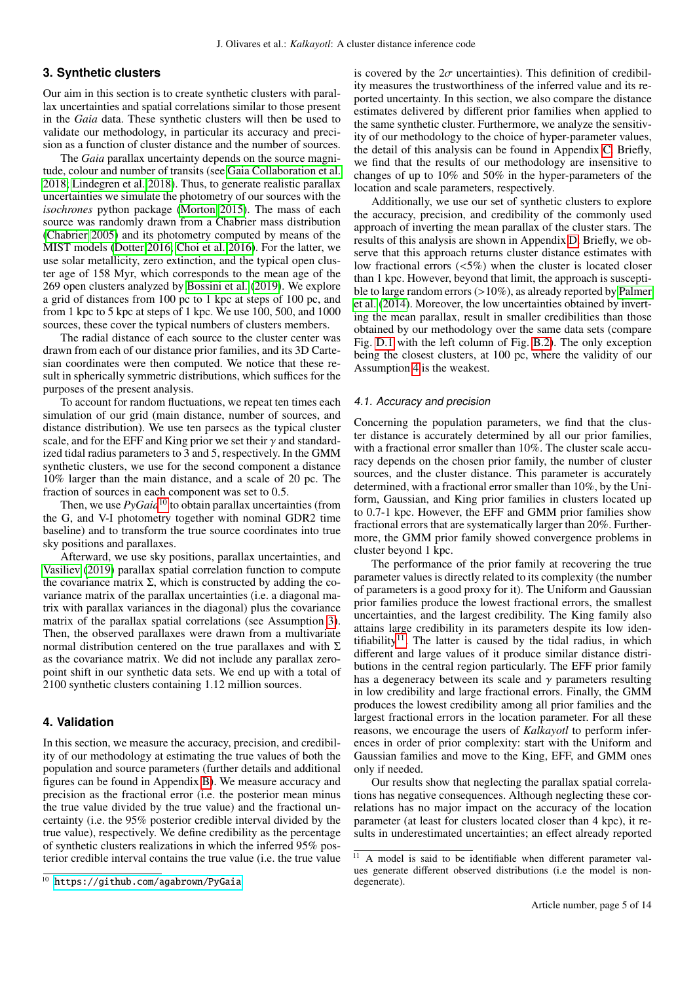## <span id="page-4-0"></span>**3. Synthetic clusters**

Our aim in this section is to create synthetic clusters with parallax uncertainties and spatial correlations similar to those present in the *Gaia* data. These synthetic clusters will then be used to validate our methodology, in particular its accuracy and precision as a function of cluster distance and the number of sources.

The *Gaia* parallax uncertainty depends on the source magnitude, colour and number of transits (see [Gaia Collaboration et al.](#page-7-3) [2018;](#page-7-3) [Lindegren et al. 2018\)](#page-7-18). Thus, to generate realistic parallax uncertainties we simulate the photometry of our sources with the *isochrones* python package [\(Morton 2015\)](#page-7-28). The mass of each source was randomly drawn from a Chabrier mass distribution [\(Chabrier 2005\)](#page-7-29) and its photometry computed by means of the MIST models [\(Dotter 2016;](#page-7-30) [Choi et al. 2016\)](#page-7-31). For the latter, we use solar metallicity, zero extinction, and the typical open cluster age of 158 Myr, which corresponds to the mean age of the 269 open clusters analyzed by [Bossini et al.](#page-7-32) [\(2019\)](#page-7-32). We explore a grid of distances from 100 pc to 1 kpc at steps of 100 pc, and from 1 kpc to 5 kpc at steps of 1 kpc. We use 100, 500, and 1000 sources, these cover the typical numbers of clusters members.

The radial distance of each source to the cluster center was drawn from each of our distance prior families, and its 3D Cartesian coordinates were then computed. We notice that these result in spherically symmetric distributions, which suffices for the purposes of the present analysis.

To account for random fluctuations, we repeat ten times each simulation of our grid (main distance, number of sources, and distance distribution). We use ten parsecs as the typical cluster scale, and for the EFF and King prior we set their  $\gamma$  and standardized tidal radius parameters to 3 and 5, respectively. In the GMM synthetic clusters, we use for the second component a distance 10% larger than the main distance, and a scale of 20 pc. The fraction of sources in each component was set to 0.5.

Then, we use  $PyGaia<sup>10</sup>$  $PyGaia<sup>10</sup>$  $PyGaia<sup>10</sup>$  to obtain parallax uncertainties (from the G, and V-I photometry together with nominal GDR2 time baseline) and to transform the true source coordinates into true sky positions and parallaxes.

Afterward, we use sky positions, parallax uncertainties, and [Vasiliev](#page-7-21) [\(2019\)](#page-7-21) parallax spatial correlation function to compute the covariance matrix  $\Sigma$ , which is constructed by adding the covariance matrix of the parallax uncertainties (i.e. a diagonal matrix with parallax variances in the diagonal) plus the covariance matrix of the parallax spatial correlations (see Assumption [3\)](#page-1-8). Then, the observed parallaxes were drawn from a multivariate normal distribution centered on the true parallaxes and with Σ as the covariance matrix. We did not include any parallax zeropoint shift in our synthetic data sets. We end up with a total of 2100 synthetic clusters containing 1.12 million sources.

## <span id="page-4-1"></span>**4. Validation**

In this section, we measure the accuracy, precision, and credibility of our methodology at estimating the true values of both the population and source parameters (further details and additional figures can be found in Appendix [B\)](#page-8-1). We measure accuracy and precision as the fractional error (i.e. the posterior mean minus the true value divided by the true value) and the fractional uncertainty (i.e. the 95% posterior credible interval divided by the true value), respectively. We define credibility as the percentage of synthetic clusters realizations in which the inferred 95% posterior credible interval contains the true value (i.e. the true value

is covered by the  $2\sigma$  uncertainties). This definition of credibility measures the trustworthiness of the inferred value and its reported uncertainty. In this section, we also compare the distance estimates delivered by different prior families when applied to the same synthetic cluster. Furthermore, we analyze the sensitivity of our methodology to the choice of hyper-parameter values, the detail of this analysis can be found in Appendix [C.](#page-11-0) Briefly, we find that the results of our methodology are insensitive to changes of up to 10% and 50% in the hyper-parameters of the location and scale parameters, respectively.

Additionally, we use our set of synthetic clusters to explore the accuracy, precision, and credibility of the commonly used approach of inverting the mean parallax of the cluster stars. The results of this analysis are shown in Appendix [D.](#page-12-0) Briefly, we observe that this approach returns cluster distance estimates with low fractional errors (<5%) when the cluster is located closer than 1 kpc. However, beyond that limit, the approach is susceptible to large random errors (>10%), as already reported by [Palmer](#page-7-7) [et al.](#page-7-7) [\(2014\)](#page-7-7). Moreover, the low uncertainties obtained by inverting the mean parallax, result in smaller credibilities than those obtained by our methodology over the same data sets (compare Fig. [D.1](#page-12-1) with the left column of Fig. [B.2\)](#page-8-2). The only exception being the closest clusters, at 100 pc, where the validity of our Assumption [4](#page-1-9) is the weakest.

#### 4.1. Accuracy and precision

Concerning the population parameters, we find that the cluster distance is accurately determined by all our prior families, with a fractional error smaller than 10%. The cluster scale accuracy depends on the chosen prior family, the number of cluster sources, and the cluster distance. This parameter is accurately determined, with a fractional error smaller than 10%, by the Uniform, Gaussian, and King prior families in clusters located up to 0.7-1 kpc. However, the EFF and GMM prior families show fractional errors that are systematically larger than 20%. Furthermore, the GMM prior family showed convergence problems in cluster beyond 1 kpc.

The performance of the prior family at recovering the true parameter values is directly related to its complexity (the number of parameters is a good proxy for it). The Uniform and Gaussian prior families produce the lowest fractional errors, the smallest uncertainties, and the largest credibility. The King family also attains large credibility in its parameters despite its low iden-tifiability<sup>[11](#page-4-3)</sup>. The latter is caused by the tidal radius, in which different and large values of it produce similar distance distributions in the central region particularly. The EFF prior family has a degeneracy between its scale and  $\gamma$  parameters resulting in low credibility and large fractional errors. Finally, the GMM produces the lowest credibility among all prior families and the largest fractional errors in the location parameter. For all these reasons, we encourage the users of *Kalkayotl* to perform inferences in order of prior complexity: start with the Uniform and Gaussian families and move to the King, EFF, and GMM ones only if needed.

Our results show that neglecting the parallax spatial correlations has negative consequences. Although neglecting these correlations has no major impact on the accuracy of the location parameter (at least for clusters located closer than 4 kpc), it results in underestimated uncertainties; an effect already reported

<span id="page-4-2"></span><sup>10</sup> <https://github.com/agabrown/PyGaia>

<span id="page-4-3"></span><sup>&</sup>lt;sup>11</sup> A model is said to be identifiable when different parameter values generate different observed distributions (i.e the model is nondegenerate).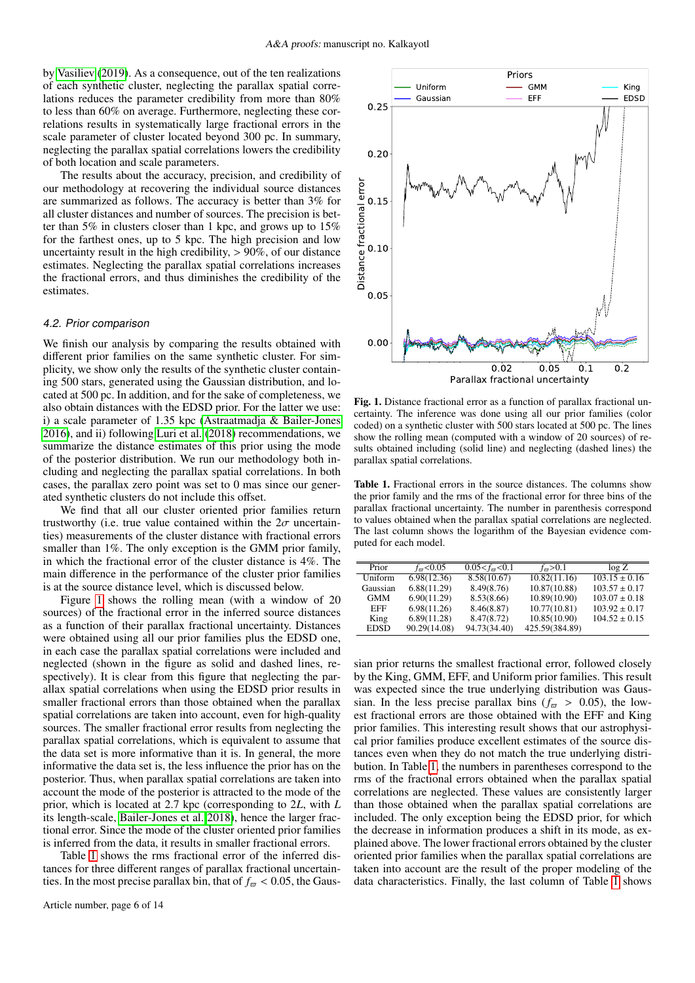by [Vasiliev](#page-7-21) [\(2019\)](#page-7-21). As a consequence, out of the ten realizations of each synthetic cluster, neglecting the parallax spatial correlations reduces the parameter credibility from more than 80% to less than 60% on average. Furthermore, neglecting these correlations results in systematically large fractional errors in the scale parameter of cluster located beyond 300 pc. In summary, neglecting the parallax spatial correlations lowers the credibility of both location and scale parameters.

The results about the accuracy, precision, and credibility of our methodology at recovering the individual source distances are summarized as follows. The accuracy is better than 3% for all cluster distances and number of sources. The precision is better than 5% in clusters closer than 1 kpc, and grows up to 15% for the farthest ones, up to 5 kpc. The high precision and low uncertainty result in the high credibility,  $> 90\%$ , of our distance estimates. Neglecting the parallax spatial correlations increases the fractional errors, and thus diminishes the credibility of the estimates.

#### <span id="page-5-2"></span>4.2. Prior comparison

We finish our analysis by comparing the results obtained with different prior families on the same synthetic cluster. For simplicity, we show only the results of the synthetic cluster containing 500 stars, generated using the Gaussian distribution, and located at 500 pc. In addition, and for the sake of completeness, we also obtain distances with the EDSD prior. For the latter we use: i) a scale parameter of 1.35 kpc [\(Astraatmadja & Bailer-Jones](#page-7-33) [2016\)](#page-7-33), and ii) following [Luri et al.](#page-7-16) [\(2018\)](#page-7-16) recommendations, we summarize the distance estimates of this prior using the mode of the posterior distribution. We run our methodology both including and neglecting the parallax spatial correlations. In both cases, the parallax zero point was set to 0 mas since our generated synthetic clusters do not include this offset.

We find that all our cluster oriented prior families return trustworthy (i.e. true value contained within the  $2\sigma$  uncertainties) measurements of the cluster distance with fractional errors smaller than 1%. The only exception is the GMM prior family, in which the fractional error of the cluster distance is 4%. The main difference in the performance of the cluster prior families is at the source distance level, which is discussed below.

Figure [1](#page-5-0) shows the rolling mean (with a window of 20 sources) of the fractional error in the inferred source distances as a function of their parallax fractional uncertainty. Distances were obtained using all our prior families plus the EDSD one, in each case the parallax spatial correlations were included and neglected (shown in the figure as solid and dashed lines, respectively). It is clear from this figure that neglecting the parallax spatial correlations when using the EDSD prior results in smaller fractional errors than those obtained when the parallax spatial correlations are taken into account, even for high-quality sources. The smaller fractional error results from neglecting the parallax spatial correlations, which is equivalent to assume that the data set is more informative than it is. In general, the more informative the data set is, the less influence the prior has on the posterior. Thus, when parallax spatial correlations are taken into account the mode of the posterior is attracted to the mode of the prior, which is located at 2.7 kpc (corresponding to 2*L*, with *L* its length-scale, [Bailer-Jones et al. 2018\)](#page-7-13), hence the larger fractional error. Since the mode of the cluster oriented prior families is inferred from the data, it results in smaller fractional errors.

Table [1](#page-5-1) shows the rms fractional error of the inferred distances for three different ranges of parallax fractional uncertainties. In the most precise parallax bin, that of  $f_{\varpi} < 0.05$ , the Gaus-



<span id="page-5-0"></span>Fig. 1. Distance fractional error as a function of parallax fractional uncertainty. The inference was done using all our prior families (color coded) on a synthetic cluster with 500 stars located at 500 pc. The lines show the rolling mean (computed with a window of 20 sources) of results obtained including (solid line) and neglecting (dashed lines) the parallax spatial correlations.

<span id="page-5-1"></span>Table 1. Fractional errors in the source distances. The columns show the prior family and the rms of the fractional error for three bins of the parallax fractional uncertainty. The number in parenthesis correspond to values obtained when the parallax spatial correlations are neglected. The last column shows the logarithm of the Bayesian evidence computed for each model.

| Prior       | $f_{\pi}$ < 0.05 | $0.05 < f_{\pi} < 0.1$ | $f_{\pi} > 0.1$ | $\log Z$          |
|-------------|------------------|------------------------|-----------------|-------------------|
| Uniform     | 6.98(12.36)      | 8.58(10.67)            | 10.82(11.16)    | $103.15 \pm 0.16$ |
| Gaussian    | 6.88(11.29)      | 8.49(8.76)             | 10.87(10.88)    | $103.57 \pm 0.17$ |
| <b>GMM</b>  | 6.90(11.29)      | 8.53(8.66)             | 10.89(10.90)    | $103.07 \pm 0.18$ |
| EFF         | 6.98(11.26)      | 8.46(8.87)             | 10.77(10.81)    | $103.92 \pm 0.17$ |
| King        | 6.89(11.28)      | 8.47(8.72)             | 10.85(10.90)    | $104.52 \pm 0.15$ |
| <b>EDSD</b> | 90.29(14.08)     | 94.73(34.40)           | 425.59(384.89)  |                   |

sian prior returns the smallest fractional error, followed closely by the King, GMM, EFF, and Uniform prior families. This result was expected since the true underlying distribution was Gaussian. In the less precise parallax bins ( $f_{\overline{\omega}} > 0.05$ ), the lowest fractional errors are those obtained with the EFF and King prior families. This interesting result shows that our astrophysical prior families produce excellent estimates of the source distances even when they do not match the true underlying distribution. In Table [1,](#page-5-1) the numbers in parentheses correspond to the rms of the fractional errors obtained when the parallax spatial correlations are neglected. These values are consistently larger than those obtained when the parallax spatial correlations are included. The only exception being the EDSD prior, for which the decrease in information produces a shift in its mode, as explained above. The lower fractional errors obtained by the cluster oriented prior families when the parallax spatial correlations are taken into account are the result of the proper modeling of the data characteristics. Finally, the last column of Table [1](#page-5-1) shows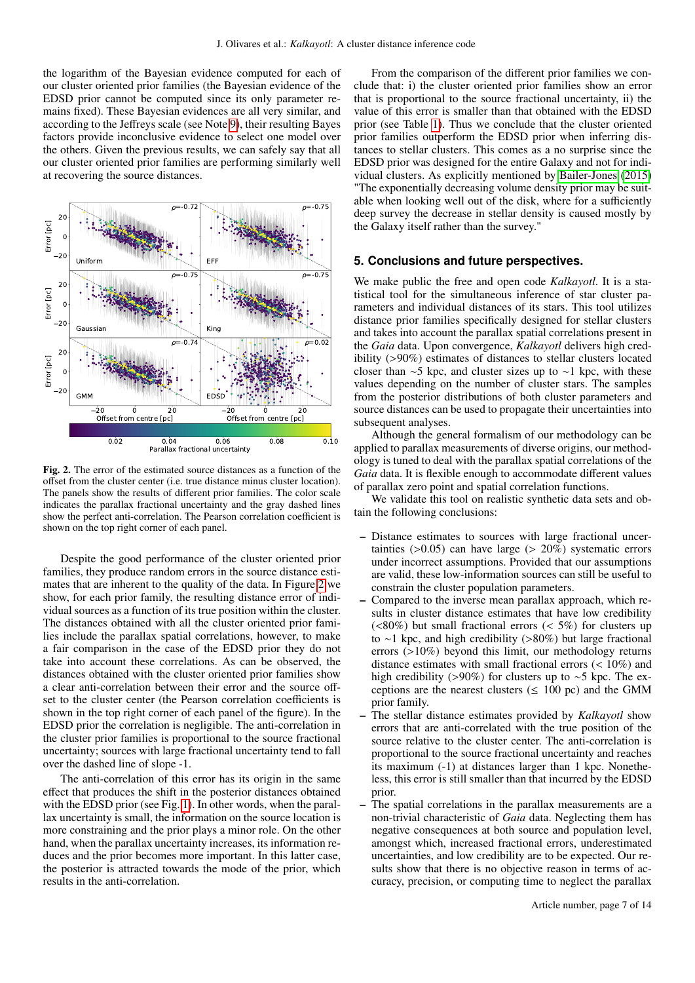the logarithm of the Bayesian evidence computed for each of our cluster oriented prior families (the Bayesian evidence of the EDSD prior cannot be computed since its only parameter remains fixed). These Bayesian evidences are all very similar, and according to the Jeffreys scale (see Note [9\)](#page-3-4), their resulting Bayes factors provide inconclusive evidence to select one model over the others. Given the previous results, we can safely say that all our cluster oriented prior families are performing similarly well at recovering the source distances.



<span id="page-6-1"></span>Fig. 2. The error of the estimated source distances as a function of the offset from the cluster center (i.e. true distance minus cluster location). The panels show the results of different prior families. The color scale indicates the parallax fractional uncertainty and the gray dashed lines show the perfect anti-correlation. The Pearson correlation coefficient is shown on the top right corner of each panel.

Despite the good performance of the cluster oriented prior families, they produce random errors in the source distance estimates that are inherent to the quality of the data. In Figure [2](#page-6-1) we show, for each prior family, the resulting distance error of individual sources as a function of its true position within the cluster. The distances obtained with all the cluster oriented prior families include the parallax spatial correlations, however, to make a fair comparison in the case of the EDSD prior they do not take into account these correlations. As can be observed, the distances obtained with the cluster oriented prior families show a clear anti-correlation between their error and the source offset to the cluster center (the Pearson correlation coefficients is shown in the top right corner of each panel of the figure). In the EDSD prior the correlation is negligible. The anti-correlation in the cluster prior families is proportional to the source fractional uncertainty; sources with large fractional uncertainty tend to fall over the dashed line of slope -1.

The anti-correlation of this error has its origin in the same effect that produces the shift in the posterior distances obtained with the EDSD prior (see Fig. [1\)](#page-5-0). In other words, when the parallax uncertainty is small, the information on the source location is more constraining and the prior plays a minor role. On the other hand, when the parallax uncertainty increases, its information reduces and the prior becomes more important. In this latter case, the posterior is attracted towards the mode of the prior, which results in the anti-correlation.

From the comparison of the different prior families we conclude that: i) the cluster oriented prior families show an error that is proportional to the source fractional uncertainty, ii) the value of this error is smaller than that obtained with the EDSD prior (see Table [1\)](#page-5-1). Thus we conclude that the cluster oriented prior families outperform the EDSD prior when inferring distances to stellar clusters. This comes as a no surprise since the EDSD prior was designed for the entire Galaxy and not for individual clusters. As explicitly mentioned by [Bailer-Jones](#page-7-23) [\(2015\)](#page-7-23) "The exponentially decreasing volume density prior may be suitable when looking well out of the disk, where for a sufficiently deep survey the decrease in stellar density is caused mostly by the Galaxy itself rather than the survey."

## <span id="page-6-0"></span>**5. Conclusions and future perspectives.**

We make public the free and open code *Kalkayotl*. It is a statistical tool for the simultaneous inference of star cluster parameters and individual distances of its stars. This tool utilizes distance prior families specifically designed for stellar clusters and takes into account the parallax spatial correlations present in the *Gaia* data. Upon convergence, *Kalkayotl* delivers high credibility (>90%) estimates of distances to stellar clusters located closer than ∼5 kpc, and cluster sizes up to ∼1 kpc, with these values depending on the number of cluster stars. The samples from the posterior distributions of both cluster parameters and source distances can be used to propagate their uncertainties into subsequent analyses.

Although the general formalism of our methodology can be applied to parallax measurements of diverse origins, our methodology is tuned to deal with the parallax spatial correlations of the *Gaia* data. It is flexible enough to accommodate different values of parallax zero point and spatial correlation functions.

We validate this tool on realistic synthetic data sets and obtain the following conclusions:

- Distance estimates to sources with large fractional uncertainties  $(0.05)$  can have large  $(0.20\%)$  systematic errors under incorrect assumptions. Provided that our assumptions are valid, these low-information sources can still be useful to constrain the cluster population parameters.
- Compared to the inverse mean parallax approach, which results in cluster distance estimates that have low credibility  $(<80\%)$  but small fractional errors  $(<5\%)$  for clusters up to ∼1 kpc, and high credibility (>80%) but large fractional errors (>10%) beyond this limit, our methodology returns distance estimates with small fractional errors (< 10%) and high credibility (>90%) for clusters up to ∼5 kpc. The exceptions are the nearest clusters ( $\leq 100$  pc) and the GMM prior family.
- The stellar distance estimates provided by *Kalkayotl* show errors that are anti-correlated with the true position of the source relative to the cluster center. The anti-correlation is proportional to the source fractional uncertainty and reaches its maximum (-1) at distances larger than 1 kpc. Nonetheless, this error is still smaller than that incurred by the EDSD prior.
- The spatial correlations in the parallax measurements are a non-trivial characteristic of *Gaia* data. Neglecting them has negative consequences at both source and population level, amongst which, increased fractional errors, underestimated uncertainties, and low credibility are to be expected. Our results show that there is no objective reason in terms of accuracy, precision, or computing time to neglect the parallax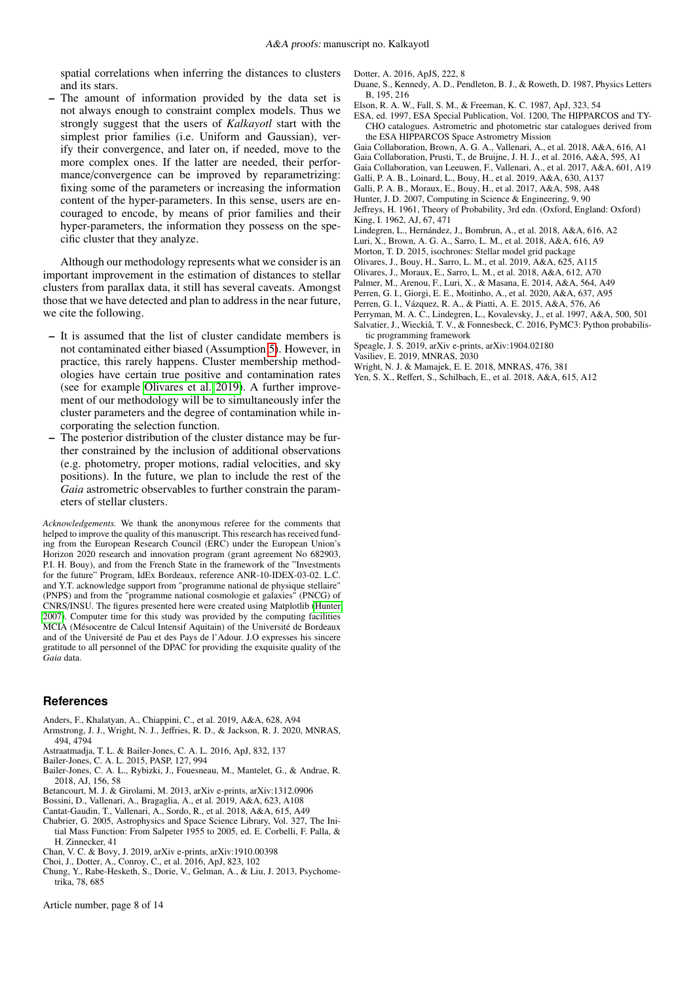spatial correlations when inferring the distances to clusters and its stars.

The amount of information provided by the data set is not always enough to constraint complex models. Thus we strongly suggest that the users of *Kalkayotl* start with the simplest prior families (i.e. Uniform and Gaussian), verify their convergence, and later on, if needed, move to the more complex ones. If the latter are needed, their performance/convergence can be improved by reparametrizing: fixing some of the parameters or increasing the information content of the hyper-parameters. In this sense, users are encouraged to encode, by means of prior families and their hyper-parameters, the information they possess on the specific cluster that they analyze.

Although our methodology represents what we consider is an important improvement in the estimation of distances to stellar clusters from parallax data, it still has several caveats. Amongst those that we have detected and plan to address in the near future, we cite the following.

- It is assumed that the list of cluster candidate members is not contaminated either biased (Assumption [5\)](#page-1-10). However, in practice, this rarely happens. Cluster membership methodologies have certain true positive and contamination rates (see for example [Olivares et al. 2019\)](#page-7-34). A further improvement of our methodology will be to simultaneously infer the cluster parameters and the degree of contamination while incorporating the selection function.
- The posterior distribution of the cluster distance may be further constrained by the inclusion of additional observations (e.g. photometry, proper motions, radial velocities, and sky positions). In the future, we plan to include the rest of the *Gaia* astrometric observables to further constrain the parameters of stellar clusters.

*Acknowledgements.* We thank the anonymous referee for the comments that helped to improve the quality of this manuscript. This research has received funding from the European Research Council (ERC) under the European Union's Horizon 2020 research and innovation program (grant agreement No 682903, P.I. H. Bouy), and from the French State in the framework of the "Investments for the future" Program, IdEx Bordeaux, reference ANR-10-IDEX-03-02. L.C. and Y.T. acknowledge support from "programme national de physique stellaire" (PNPS) and from the "programme national cosmologie et galaxies" (PNCG) of CNRS/INSU. The figures presented here were created using Matplotlib [\(Hunter](#page-7-35) [2007\)](#page-7-35). Computer time for this study was provided by the computing facilities MCIA (Mésocentre de Calcul Intensif Aquitain) of the Université de Bordeaux and of the Université de Pau et des Pays de l'Adour. J.O expresses his sincere gratitude to all personnel of the DPAC for providing the exquisite quality of the *Gaia* data.

#### **References**

- <span id="page-7-14"></span>Anders, F., Khalatyan, A., Chiappini, C., et al. 2019, A&A, 628, A94
- <span id="page-7-6"></span>Armstrong, J. J., Wright, N. J., Jeffries, R. D., & Jackson, R. J. 2020, MNRAS, 494, 4794
- <span id="page-7-33"></span>Astraatmadja, T. L. & Bailer-Jones, C. A. L. 2016, ApJ, 832, 137
- <span id="page-7-23"></span>Bailer-Jones, C. A. L. 2015, PASP, 127, 994
- <span id="page-7-13"></span>Bailer-Jones, C. A. L., Rybizki, J., Fouesneau, M., Mantelet, G., & Andrae, R. 2018, AJ, 156, 58
- <span id="page-7-26"></span>Betancourt, M. J. & Girolami, M. 2013, arXiv e-prints, arXiv:1312.0906
- <span id="page-7-32"></span>Bossini, D., Vallenari, A., Bragaglia, A., et al. 2019, A&A, 623, A108
- <span id="page-7-12"></span>Cantat-Gaudin, T., Vallenari, A., Sordo, R., et al. 2018, A&A, 615, A49
- <span id="page-7-29"></span>Chabrier, G. 2005, Astrophysics and Space Science Library, Vol. 327, The Initial Mass Function: From Salpeter 1955 to 2005, ed. E. Corbelli, F. Palla, & H. Zinnecker, 41
- <span id="page-7-20"></span>Chan, V. C. & Bovy, J. 2019, arXiv e-prints, arXiv:1910.00398
- <span id="page-7-31"></span>Choi, J., Dotter, A., Conroy, C., et al. 2016, ApJ, 823, 102
- <span id="page-7-24"></span>Chung, Y., Rabe-Hesketh, S., Dorie, V., Gelman, A., & Liu, J. 2013, Psychometrika, 78, 685

Article number, page 8 of 14

- <span id="page-7-30"></span>Dotter, A. 2016, ApJS, 222, 8
- <span id="page-7-19"></span>Duane, S., Kennedy, A. D., Pendleton, B. J., & Roweth, D. 1987, Physics Letters B, 195, 216
- <span id="page-7-15"></span>Elson, R. A. W., Fall, S. M., & Freeman, K. C. 1987, ApJ, 323, 54
- <span id="page-7-0"></span>ESA, ed. 1997, ESA Special Publication, Vol. 1200, The HIPPARCOS and TY-CHO catalogues. Astrometric and photometric star catalogues derived from the ESA HIPPARCOS Space Astrometry Mission
- <span id="page-7-3"></span>Gaia Collaboration, Brown, A. G. A., Vallenari, A., et al. 2018, A&A, 616, A1
- <span id="page-7-2"></span>Gaia Collaboration, Prusti, T., de Bruijne, J. H. J., et al. 2016, A&A, 595, A1
- <span id="page-7-9"></span>Gaia Collaboration, van Leeuwen, F., Vallenari, A., et al. 2017, A&A, 601, A19
- <span id="page-7-5"></span>Galli, P. A. B., Loinard, L., Bouy, H., et al. 2019, A&A, 630, A137
- <span id="page-7-10"></span>Galli, P. A. B., Moraux, E., Bouy, H., et al. 2017, A&A, 598, A48
- <span id="page-7-35"></span>Hunter, J. D. 2007, Computing in Science & Engineering, 9, 90
- <span id="page-7-27"></span><span id="page-7-22"></span>Jeffreys, H. 1961, Theory of Probability, 3rd edn. (Oxford, England: Oxford) King, I. 1962, AJ, 67, 471
- <span id="page-7-18"></span>Lindegren, L., Hernández, J., Bombrun, A., et al. 2018, A&A, 616, A2
- <span id="page-7-16"></span>Luri, X., Brown, A. G. A., Sarro, L. M., et al. 2018, A&A, 616, A9
- <span id="page-7-28"></span>Morton, T. D. 2015, isochrones: Stellar model grid package
- <span id="page-7-34"></span>Olivares, J., Bouy, H., Sarro, L. M., et al. 2019, A&A, 625, A115
- <span id="page-7-37"></span>Olivares, J., Moraux, E., Sarro, L. M., et al. 2018, A&A, 612, A70
- <span id="page-7-7"></span>Palmer, M., Arenou, F., Luri, X., & Masana, E. 2014, A&A, 564, A49
- <span id="page-7-17"></span>Perren, G. I., Giorgi, E. E., Moitinho, A., et al. 2020, A&A, 637, A95
- <span id="page-7-8"></span>Perren, G. I., Vázquez, R. A., & Piatti, A. E. 2015, A&A, 576, A6
- <span id="page-7-1"></span>Perryman, M. A. C., Lindegren, L., Kovalevsky, J., et al. 1997, A&A, 500, 501
- <span id="page-7-25"></span>Salvatier, J., Wieckiâ, T. V., & Fonnesbeck, C. 2016, PyMC3: Python probabilis-
- tic programming framework
- <span id="page-7-36"></span>Speagle, J. S. 2019, arXiv e-prints, arXiv:1904.02180
- <span id="page-7-21"></span>Vasiliev, E. 2019, MNRAS, 2030
- <span id="page-7-4"></span>Wright, N. J. & Mamajek, E. E. 2018, MNRAS, 476, 381
- <span id="page-7-11"></span>Yen, S. X., Reffert, S., Schilbach, E., et al. 2018, A&A, 615, A12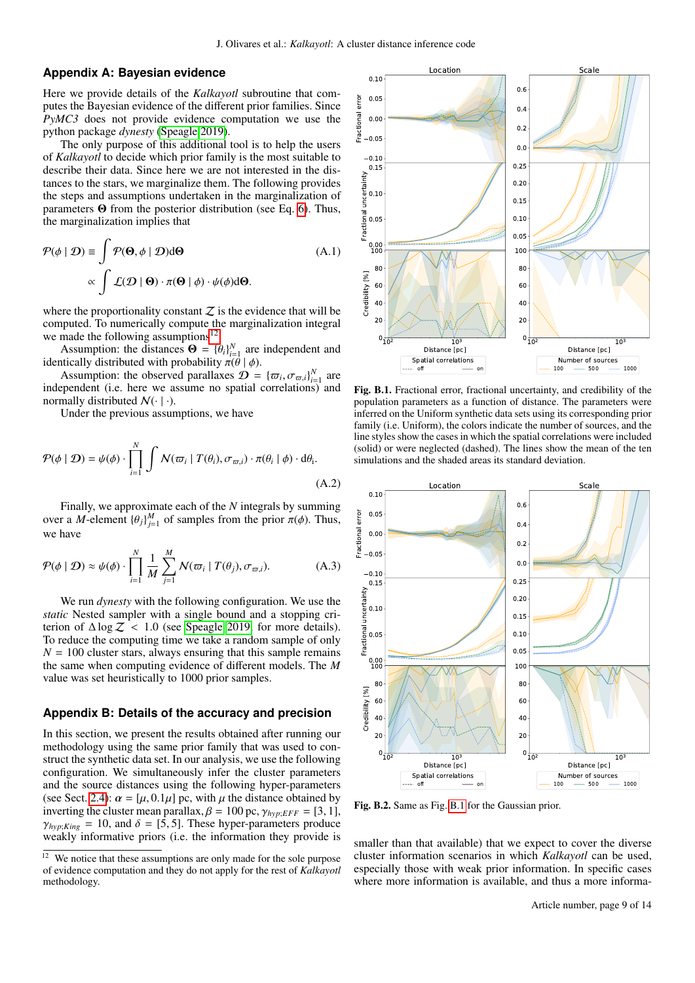## <span id="page-8-0"></span>**Appendix A: Bayesian evidence**

Here we provide details of the *Kalkayotl* subroutine that computes the Bayesian evidence of the different prior families. Since *PyMC3* does not provide evidence computation we use the python package *dynesty* [\(Speagle 2019\)](#page-7-36).

The only purpose of this additional tool is to help the users of *Kalkayotl* to decide which prior family is the most suitable to describe their data. Since here we are not interested in the distances to the stars, we marginalize them. The following provides the steps and assumptions undertaken in the marginalization of parameters Θ from the posterior distribution (see Eq. [6\)](#page-3-3). Thus, the marginalization implies that

$$
\mathcal{P}(\phi \mid \mathcal{D}) \equiv \int \mathcal{P}(\mathbf{\Theta}, \phi \mid \mathcal{D}) d\mathbf{\Theta}
$$
\n
$$
\propto \int \mathcal{L}(\mathcal{D} \mid \mathbf{\Theta}) \cdot \pi(\mathbf{\Theta} \mid \phi) \cdot \psi(\phi) d\mathbf{\Theta}.
$$
\n(A.1)

where the proportionality constant  $Z$  is the evidence that will be computed. To numerically compute the marginalization integral we made the following assumptions $^{12}$  $^{12}$  $^{12}$ .

Assumption: the distances  $\mathbf{\Theta} = {\{\theta_i\}}_{i=1}^N$  are independent and trically distributed with probability  $\pi(\theta | \phi)$ identically distributed with probability  $\pi(\vec{\theta} \mid \phi)$ .

Assumption: the observed parallaxes  $\mathcal{D} = {\{\bar{\sigma}_i, \sigma_{\bar{\omega},i}\}_{i=1}^N}$  are encodent (i.e. here we assume no spatial correlations) and independent (i.e. here we assume no spatial correlations) and normally distributed  $N(\cdot | \cdot)$ .

Under the previous assumptions, we have

$$
\mathcal{P}(\phi \mid \mathcal{D}) = \psi(\phi) \cdot \prod_{i=1}^{N} \int \mathcal{N}(\varpi_i \mid T(\theta_i), \sigma_{\varpi, i}) \cdot \pi(\theta_i \mid \phi) \cdot d\theta_i.
$$
\n(A.2)

Finally, we approximate each of the *N* integrals by summing over a *M*-element  ${\theta_j}_{j=1}^M$  of samples from the prior  $\pi(\phi)$ . Thus, we have

$$
\mathcal{P}(\phi \mid \mathcal{D}) \approx \psi(\phi) \cdot \prod_{i=1}^{N} \frac{1}{M} \sum_{j=1}^{M} \mathcal{N}(\varpi_i \mid T(\theta_j), \sigma_{\varpi, i}). \tag{A.3}
$$

We run *dynesty* with the following configuration. We use the *static* Nested sampler with a single bound and a stopping criterion of  $\triangle \log Z$  < 1.0 (see [Speagle 2019,](#page-7-36) for more details). To reduce the computing time we take a random sample of only  $N = 100$  cluster stars, always ensuring that this sample remains the same when computing evidence of different models. The *M* value was set heuristically to 1000 prior samples.

## <span id="page-8-1"></span>**Appendix B: Details of the accuracy and precision**

In this section, we present the results obtained after running our methodology using the same prior family that was used to construct the synthetic data set. In our analysis, we use the following configuration. We simultaneously infer the cluster parameters and the source distances using the following hyper-parameters (see Sect. [2.4\)](#page-2-3):  $\alpha = [\mu, 0.1\mu]$  pc, with  $\mu$  the distance obtained by inverting the cluster mean parallax,  $\beta = 100$  pc,  $\gamma_{hvp:EFF} = [3, 1]$ ,  $\gamma_{hyp;King} = 10$ , and  $\delta = [5, 5]$ . These hyper-parameters produce weakly informative priors (i.e. the information they provide is



<span id="page-8-4"></span>Fig. B.1. Fractional error, fractional uncertainty, and credibility of the population parameters as a function of distance. The parameters were inferred on the Uniform synthetic data sets using its corresponding prior family (i.e. Uniform), the colors indicate the number of sources, and the line styles show the cases in which the spatial correlations were included (solid) or were neglected (dashed). The lines show the mean of the ten simulations and the shaded areas its standard deviation.



<span id="page-8-2"></span>Fig. B.2. Same as Fig. [B.1](#page-8-4) for the Gaussian prior.

smaller than that available) that we expect to cover the diverse cluster information scenarios in which *Kalkayotl* can be used, especially those with weak prior information. In specific cases where more information is available, and thus a more informa-

<span id="page-8-3"></span><sup>&</sup>lt;sup>12</sup> We notice that these assumptions are only made for the sole purpose of evidence computation and they do not apply for the rest of *Kalkayotl* methodology.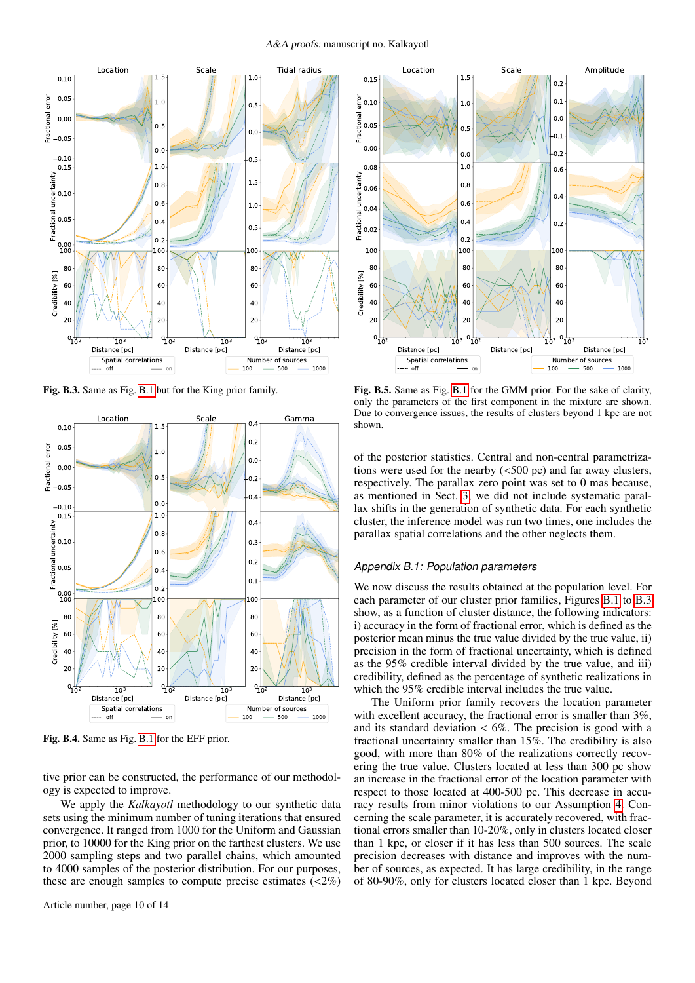

<span id="page-9-0"></span>Fig. B.3. Same as Fig. [B.1](#page-8-4) but for the King prior family.



Fig. B.4. Same as Fig. [B.1](#page-8-4) for the EFF prior.

tive prior can be constructed, the performance of our methodology is expected to improve.

We apply the *Kalkayotl* methodology to our synthetic data sets using the minimum number of tuning iterations that ensured convergence. It ranged from 1000 for the Uniform and Gaussian prior, to 10000 for the King prior on the farthest clusters. We use 2000 sampling steps and two parallel chains, which amounted to 4000 samples of the posterior distribution. For our purposes, these are enough samples to compute precise estimates  $\left\langle \langle 2\% \rangle \right\rangle$ 



<span id="page-9-1"></span>Fig. B.5. Same as Fig. [B.1](#page-8-4) for the GMM prior. For the sake of clarity, only the parameters of the first component in the mixture are shown. Due to convergence issues, the results of clusters beyond 1 kpc are not shown.

of the posterior statistics. Central and non-central parametrizations were used for the nearby  $(<500$  pc) and far away clusters, respectively. The parallax zero point was set to 0 mas because, as mentioned in Sect. [3,](#page-4-0) we did not include systematic parallax shifts in the generation of synthetic data. For each synthetic cluster, the inference model was run two times, one includes the parallax spatial correlations and the other neglects them.

## <span id="page-9-2"></span>Appendix B.1: Population parameters

We now discuss the results obtained at the population level. For each parameter of our cluster prior families, Figures [B.1](#page-8-4) to [B.3](#page-9-0) show, as a function of cluster distance, the following indicators: i) accuracy in the form of fractional error, which is defined as the posterior mean minus the true value divided by the true value, ii) precision in the form of fractional uncertainty, which is defined as the 95% credible interval divided by the true value, and iii) credibility, defined as the percentage of synthetic realizations in which the 95% credible interval includes the true value.

The Uniform prior family recovers the location parameter with excellent accuracy, the fractional error is smaller than 3%, and its standard deviation  $\lt 6\%$ . The precision is good with a fractional uncertainty smaller than 15%. The credibility is also good, with more than 80% of the realizations correctly recovering the true value. Clusters located at less than 300 pc show an increase in the fractional error of the location parameter with respect to those located at 400-500 pc. This decrease in accuracy results from minor violations to our Assumption [4.](#page-1-9) Concerning the scale parameter, it is accurately recovered, with fractional errors smaller than 10-20%, only in clusters located closer than 1 kpc, or closer if it has less than 500 sources. The scale precision decreases with distance and improves with the number of sources, as expected. It has large credibility, in the range of 80-90%, only for clusters located closer than 1 kpc. Beyond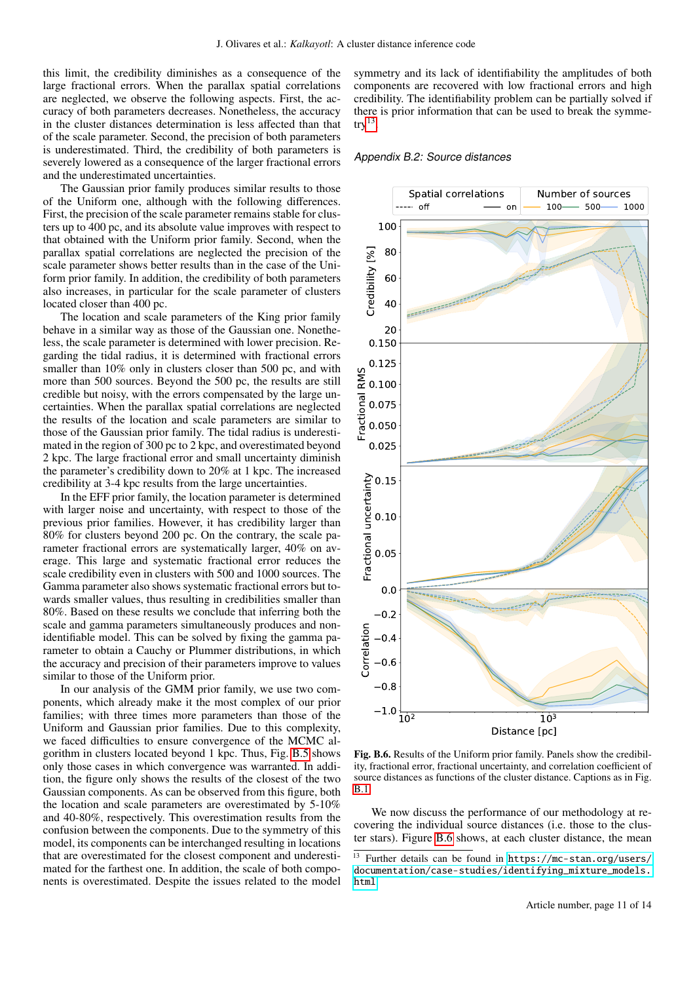this limit, the credibility diminishes as a consequence of the large fractional errors. When the parallax spatial correlations are neglected, we observe the following aspects. First, the accuracy of both parameters decreases. Nonetheless, the accuracy in the cluster distances determination is less affected than that of the scale parameter. Second, the precision of both parameters is underestimated. Third, the credibility of both parameters is severely lowered as a consequence of the larger fractional errors and the underestimated uncertainties.

The Gaussian prior family produces similar results to those of the Uniform one, although with the following differences. First, the precision of the scale parameter remains stable for clusters up to 400 pc, and its absolute value improves with respect to that obtained with the Uniform prior family. Second, when the parallax spatial correlations are neglected the precision of the scale parameter shows better results than in the case of the Uniform prior family. In addition, the credibility of both parameters also increases, in particular for the scale parameter of clusters located closer than 400 pc.

The location and scale parameters of the King prior family behave in a similar way as those of the Gaussian one. Nonetheless, the scale parameter is determined with lower precision. Regarding the tidal radius, it is determined with fractional errors smaller than 10% only in clusters closer than 500 pc, and with more than 500 sources. Beyond the 500 pc, the results are still credible but noisy, with the errors compensated by the large uncertainties. When the parallax spatial correlations are neglected the results of the location and scale parameters are similar to those of the Gaussian prior family. The tidal radius is underestimated in the region of 300 pc to 2 kpc, and overestimated beyond 2 kpc. The large fractional error and small uncertainty diminish the parameter's credibility down to 20% at 1 kpc. The increased credibility at 3-4 kpc results from the large uncertainties.

In the EFF prior family, the location parameter is determined with larger noise and uncertainty, with respect to those of the previous prior families. However, it has credibility larger than 80% for clusters beyond 200 pc. On the contrary, the scale parameter fractional errors are systematically larger, 40% on average. This large and systematic fractional error reduces the scale credibility even in clusters with 500 and 1000 sources. The Gamma parameter also shows systematic fractional errors but towards smaller values, thus resulting in credibilities smaller than 80%. Based on these results we conclude that inferring both the scale and gamma parameters simultaneously produces and nonidentifiable model. This can be solved by fixing the gamma parameter to obtain a Cauchy or Plummer distributions, in which the accuracy and precision of their parameters improve to values similar to those of the Uniform prior.

In our analysis of the GMM prior family, we use two components, which already make it the most complex of our prior families; with three times more parameters than those of the Uniform and Gaussian prior families. Due to this complexity, we faced difficulties to ensure convergence of the MCMC algorithm in clusters located beyond 1 kpc. Thus, Fig. [B.5](#page-9-1) shows only those cases in which convergence was warranted. In addition, the figure only shows the results of the closest of the two Gaussian components. As can be observed from this figure, both the location and scale parameters are overestimated by 5-10% and 40-80%, respectively. This overestimation results from the confusion between the components. Due to the symmetry of this model, its components can be interchanged resulting in locations that are overestimated for the closest component and underestimated for the farthest one. In addition, the scale of both components is overestimated. Despite the issues related to the model

symmetry and its lack of identifiability the amplitudes of both components are recovered with low fractional errors and high credibility. The identifiability problem can be partially solved if there is prior information that can be used to break the symme- $try<sup>13</sup>$  $try<sup>13</sup>$  $try<sup>13</sup>$ .

#### <span id="page-10-2"></span>Appendix B.2: Source distances



<span id="page-10-1"></span>Fig. B.6. Results of the Uniform prior family. Panels show the credibility, fractional error, fractional uncertainty, and correlation coefficient of source distances as functions of the cluster distance. Captions as in Fig. [B.1.](#page-8-4)

We now discuss the performance of our methodology at recovering the individual source distances (i.e. those to the cluster stars). Figure [B.6](#page-10-1) shows, at each cluster distance, the mean

<span id="page-10-0"></span><sup>13</sup> Further details can be found in [https://mc-stan.org/users/](https://mc-stan.org/users/documentation/case-studies/identifying_mixture_models.html) [documentation/case-studies/identifying\\_mixture\\_models.](https://mc-stan.org/users/documentation/case-studies/identifying_mixture_models.html) [html](https://mc-stan.org/users/documentation/case-studies/identifying_mixture_models.html)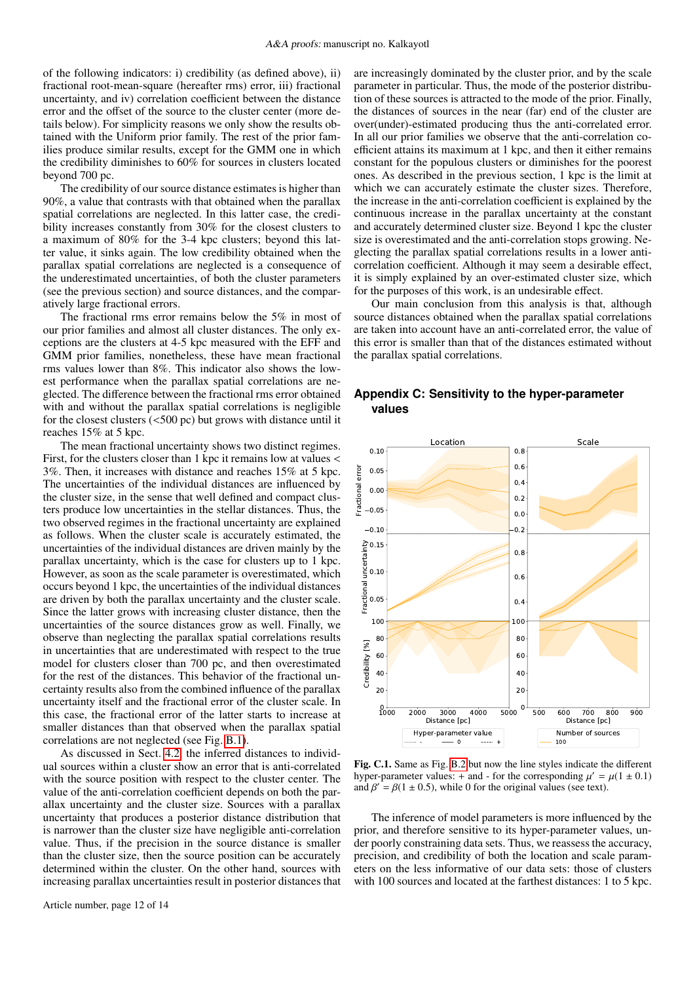of the following indicators: i) credibility (as defined above), ii) fractional root-mean-square (hereafter rms) error, iii) fractional uncertainty, and iv) correlation coefficient between the distance error and the offset of the source to the cluster center (more details below). For simplicity reasons we only show the results obtained with the Uniform prior family. The rest of the prior families produce similar results, except for the GMM one in which the credibility diminishes to 60% for sources in clusters located beyond 700 pc.

The credibility of our source distance estimates is higher than 90%, a value that contrasts with that obtained when the parallax spatial correlations are neglected. In this latter case, the credibility increases constantly from 30% for the closest clusters to a maximum of 80% for the 3-4 kpc clusters; beyond this latter value, it sinks again. The low credibility obtained when the parallax spatial correlations are neglected is a consequence of the underestimated uncertainties, of both the cluster parameters (see the previous section) and source distances, and the comparatively large fractional errors.

The fractional rms error remains below the 5% in most of our prior families and almost all cluster distances. The only exceptions are the clusters at 4-5 kpc measured with the EFF and GMM prior families, nonetheless, these have mean fractional rms values lower than 8%. This indicator also shows the lowest performance when the parallax spatial correlations are neglected. The difference between the fractional rms error obtained with and without the parallax spatial correlations is negligible for the closest clusters (<500 pc) but grows with distance until it reaches 15% at 5 kpc.

The mean fractional uncertainty shows two distinct regimes. First, for the clusters closer than 1 kpc it remains low at values < 3%. Then, it increases with distance and reaches 15% at 5 kpc. The uncertainties of the individual distances are influenced by the cluster size, in the sense that well defined and compact clusters produce low uncertainties in the stellar distances. Thus, the two observed regimes in the fractional uncertainty are explained as follows. When the cluster scale is accurately estimated, the uncertainties of the individual distances are driven mainly by the parallax uncertainty, which is the case for clusters up to 1 kpc. However, as soon as the scale parameter is overestimated, which occurs beyond 1 kpc, the uncertainties of the individual distances are driven by both the parallax uncertainty and the cluster scale. Since the latter grows with increasing cluster distance, then the uncertainties of the source distances grow as well. Finally, we observe than neglecting the parallax spatial correlations results in uncertainties that are underestimated with respect to the true model for clusters closer than 700 pc, and then overestimated for the rest of the distances. This behavior of the fractional uncertainty results also from the combined influence of the parallax uncertainty itself and the fractional error of the cluster scale. In this case, the fractional error of the latter starts to increase at smaller distances than that observed when the parallax spatial correlations are not neglected (see Fig. [B.1\)](#page-8-4).

As discussed in Sect. [4.2,](#page-5-2) the inferred distances to individual sources within a cluster show an error that is anti-correlated with the source position with respect to the cluster center. The value of the anti-correlation coefficient depends on both the parallax uncertainty and the cluster size. Sources with a parallax uncertainty that produces a posterior distance distribution that is narrower than the cluster size have negligible anti-correlation value. Thus, if the precision in the source distance is smaller than the cluster size, then the source position can be accurately determined within the cluster. On the other hand, sources with increasing parallax uncertainties result in posterior distances that are increasingly dominated by the cluster prior, and by the scale parameter in particular. Thus, the mode of the posterior distribution of these sources is attracted to the mode of the prior. Finally, the distances of sources in the near (far) end of the cluster are over(under)-estimated producing thus the anti-correlated error. In all our prior families we observe that the anti-correlation coefficient attains its maximum at 1 kpc, and then it either remains constant for the populous clusters or diminishes for the poorest ones. As described in the previous section, 1 kpc is the limit at which we can accurately estimate the cluster sizes. Therefore, the increase in the anti-correlation coefficient is explained by the continuous increase in the parallax uncertainty at the constant and accurately determined cluster size. Beyond 1 kpc the cluster size is overestimated and the anti-correlation stops growing. Neglecting the parallax spatial correlations results in a lower anticorrelation coefficient. Although it may seem a desirable effect, it is simply explained by an over-estimated cluster size, which for the purposes of this work, is an undesirable effect.

Our main conclusion from this analysis is that, although source distances obtained when the parallax spatial correlations are taken into account have an anti-correlated error, the value of this error is smaller than that of the distances estimated without the parallax spatial correlations.

## <span id="page-11-0"></span>**Appendix C: Sensitivity to the hyper-parameter values**



<span id="page-11-1"></span>Fig. C.1. Same as Fig. [B.2](#page-8-2) but now the line styles indicate the different hyper-parameter values: + and - for the corresponding  $\mu' = \mu(1 \pm 0.1)$ <br>and  $\beta' = \beta(1 + 0.5)$  while 0 for the original values (see text) and  $\beta' = \beta(1 \pm 0.5)$ , while 0 for the original values (see text).

The inference of model parameters is more influenced by the prior, and therefore sensitive to its hyper-parameter values, under poorly constraining data sets. Thus, we reassess the accuracy, precision, and credibility of both the location and scale parameters on the less informative of our data sets: those of clusters with 100 sources and located at the farthest distances: 1 to 5 kpc.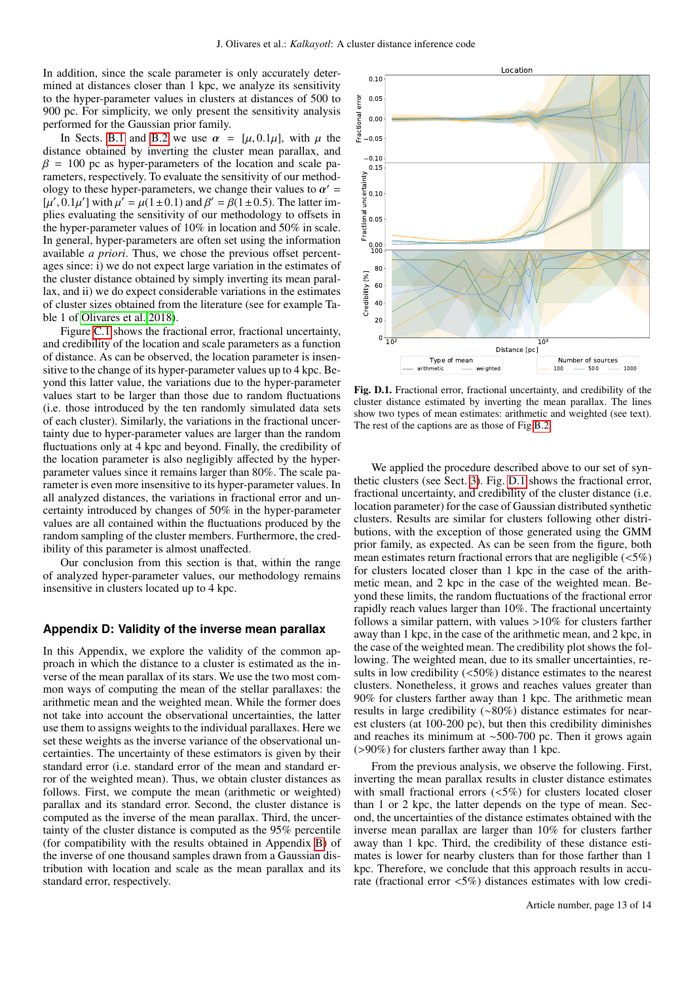In addition, since the scale parameter is only accurately determined at distances closer than 1 kpc, we analyze its sensitivity to the hyper-parameter values in clusters at distances of 500 to 900 pc. For simplicity, we only present the sensitivity analysis performed for the Gaussian prior family.

In Sects. [B.1](#page-9-2) and [B.2](#page-10-2) we use  $\alpha = [\mu, 0.1\mu]$ , with  $\mu$  the distance obtained by inverting the cluster mean parallax, and  $\beta = 100$  pc as hyper-parameters of the location and scale parameters, respectively. To evaluate the sensitivity of our methodology to these hyper-parameters, we change their values to  $\alpha' = [u'] \cdot 0.1u'$  with  $u' = u(1+0.1)$  and  $\beta' = \beta(1+0.5)$ . The latter im-[ $\mu'$ , 0.1 $\mu'$ ] with  $\mu' = \mu(1 \pm 0.1)$  and  $\beta' = \beta(1 \pm 0.5)$ . The latter implies evaluating the sensitivity of our methodology to offsets in the hyper-parameter values of 10% in location and 50% in scale. In general, hyper-parameters are often set using the information available *a priori*. Thus, we chose the previous offset percentages since: i) we do not expect large variation in the estimates of the cluster distance obtained by simply inverting its mean parallax, and ii) we do expect considerable variations in the estimates of cluster sizes obtained from the literature (see for example Table 1 of [Olivares et al. 2018\)](#page-7-37).

Figure [C.1](#page-11-1) shows the fractional error, fractional uncertainty, and credibility of the location and scale parameters as a function of distance. As can be observed, the location parameter is insensitive to the change of its hyper-parameter values up to 4 kpc. Beyond this latter value, the variations due to the hyper-parameter values start to be larger than those due to random fluctuations (i.e. those introduced by the ten randomly simulated data sets of each cluster). Similarly, the variations in the fractional uncertainty due to hyper-parameter values are larger than the random fluctuations only at 4 kpc and beyond. Finally, the credibility of the location parameter is also negligibly affected by the hyperparameter values since it remains larger than 80%. The scale parameter is even more insensitive to its hyper-parameter values. In all analyzed distances, the variations in fractional error and uncertainty introduced by changes of 50% in the hyper-parameter values are all contained within the fluctuations produced by the random sampling of the cluster members. Furthermore, the credibility of this parameter is almost unaffected.

Our conclusion from this section is that, within the range of analyzed hyper-parameter values, our methodology remains insensitive in clusters located up to 4 kpc.

## <span id="page-12-0"></span>**Appendix D: Validity of the inverse mean parallax**

In this Appendix, we explore the validity of the common approach in which the distance to a cluster is estimated as the inverse of the mean parallax of its stars. We use the two most common ways of computing the mean of the stellar parallaxes: the arithmetic mean and the weighted mean. While the former does not take into account the observational uncertainties, the latter use them to assigns weights to the individual parallaxes. Here we set these weights as the inverse variance of the observational uncertainties. The uncertainty of these estimators is given by their standard error (i.e. standard error of the mean and standard error of the weighted mean). Thus, we obtain cluster distances as follows. First, we compute the mean (arithmetic or weighted) parallax and its standard error. Second, the cluster distance is computed as the inverse of the mean parallax. Third, the uncertainty of the cluster distance is computed as the 95% percentile (for compatibility with the results obtained in Appendix [B\)](#page-8-1) of the inverse of one thousand samples drawn from a Gaussian distribution with location and scale as the mean parallax and its standard error, respectively.



<span id="page-12-1"></span>Fig. D.1. Fractional error, fractional uncertainty, and credibility of the cluster distance estimated by inverting the mean parallax. The lines show two types of mean estimates: arithmetic and weighted (see text). The rest of the captions are as those of Fig[.B.2.](#page-8-2)

We applied the procedure described above to our set of synthetic clusters (see Sect. [3\)](#page-4-0). Fig. [D.1](#page-12-1) shows the fractional error, fractional uncertainty, and credibility of the cluster distance (i.e. location parameter) for the case of Gaussian distributed synthetic clusters. Results are similar for clusters following other distributions, with the exception of those generated using the GMM prior family, as expected. As can be seen from the figure, both mean estimates return fractional errors that are negligible  $(<5\%)$ for clusters located closer than 1 kpc in the case of the arithmetic mean, and 2 kpc in the case of the weighted mean. Beyond these limits, the random fluctuations of the fractional error rapidly reach values larger than 10%. The fractional uncertainty follows a similar pattern, with values >10% for clusters farther away than 1 kpc, in the case of the arithmetic mean, and 2 kpc, in the case of the weighted mean. The credibility plot shows the following. The weighted mean, due to its smaller uncertainties, results in low credibility  $(<50\%)$  distance estimates to the nearest clusters. Nonetheless, it grows and reaches values greater than 90% for clusters farther away than 1 kpc. The arithmetic mean results in large credibility (∼80%) distance estimates for nearest clusters (at 100-200 pc), but then this credibility diminishes and reaches its minimum at ∼500-700 pc. Then it grows again (>90%) for clusters farther away than 1 kpc.

From the previous analysis, we observe the following. First, inverting the mean parallax results in cluster distance estimates with small fractional errors (<5%) for clusters located closer than 1 or 2 kpc, the latter depends on the type of mean. Second, the uncertainties of the distance estimates obtained with the inverse mean parallax are larger than 10% for clusters farther away than 1 kpc. Third, the credibility of these distance estimates is lower for nearby clusters than for those farther than 1 kpc. Therefore, we conclude that this approach results in accurate (fractional error <5%) distances estimates with low credi-